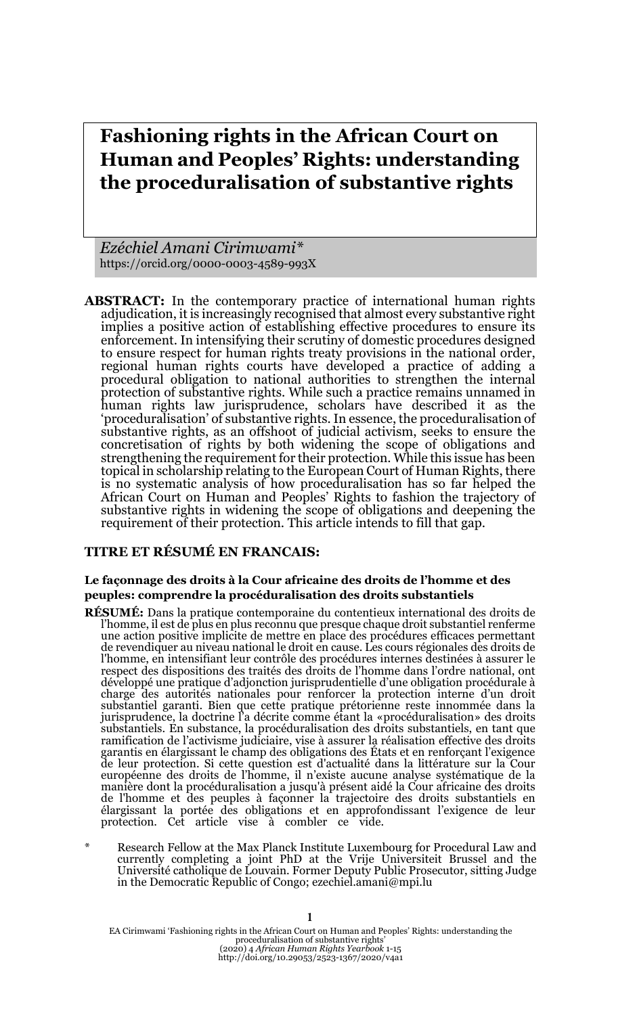# **Fashioning rights in the African Court on Human and Peoples' Rights: understanding the proceduralisation of substantive rights**

*Ezéchiel Amani Cirimwami\** https://orcid.org/0000-0003-4589-993X

**ABSTRACT:** In the contemporary practice of international human rights adjudication, it is increasingly recognised that almost every substantive right implies a positive action of establishing effective procedures to ensure its enforcement. In intensifying their scrutiny of domestic procedures designed to ensure respect for human rights treaty provisions in the national order, regional human rights courts have developed a practice of adding a procedural obligation to national authorities to strengthen the internal protection of substantive rights. While such a practice remains unnamed in human rights law jurisprudence, scholars have described it as the 'proceduralisation' of substantive rights. In essence, the proceduralisation of substantive rights, as an offshoot of judicial activism, seeks to ensure the concretisation of rights by both widening the scope of obligations and strengthening the requirement for their protection. While this issue has been topical in scholarship relating to the European Court of Human Rights, there is no systematic analysis of how proceduralisation has so far helped the African Court on Human and Peoples' Rights to fashion the trajectory of substantive rights in widening the scope of obligations and deepening the requirement of their protection. This article intends to fill that gap.

### **TITRE ET RÉSUMÉ EN FRANCAIS:**

#### **Le façonnage des droits à la Cour africaine des droits de l'homme et des peuples: comprendre la procéduralisation des droits substantiels**

- **RÉSUMÉ:** Dans la pratique contemporaine du contentieux international des droits de l'homme, il est de plus en plus reconnu que presque chaque droit substantiel renferme une action positive implicite de mettre en place des procédures efficaces permettant de revendiquer au niveau national le droit en cause. Les cours régionales des droits de l'homme, en intensifiant leur contrôle des procédures internes destinées à assurer le respect des dispositions des traités des droits de l'homme dans l'ordre national, ont développé une pratique d'adjonction jurisprudentielle d'une obligation procédurale à charge des autorités nationales pour renforcer la protection interne d'un droit substantiel garanti. Bien que cette pratique prétorienne reste innommée dans la<br>jurisprudence, la doctrine l'a décrite comme étant la «procéduralisation» des droits<br>substantiels. En substance, la procéduralisation des droi ramification de l'activisme judiciaire, vise à assurer la réalisation effective des droits garantis en élargissant le champ des obligations des États et en renforçant l'exigence de leur protection. Si cette question est d'actualité dans la littérature sur la Cour européenne des droits de l'homme, il n'existe aucune analyse systématique de la manière dont la procéduralisation a jusqu'à présent aidé la Cour africaine des droits de l'homme et des peuples à façonner la trajectoire des droits substantiels en élargissant la portée des obligations et en approfondissant l'exigence de leur protection. Cet article vise à combler ce vide.
- Research Fellow at the Max Planck Institute Luxembourg for Procedural Law and currently completing a joint PhD at the Vrije Universiteit Brussel and the Université catholique de Louvain. Former Deputy Public Prosecutor, sitting Judge in the Democratic Republic of Congo; ezechiel.amani@mpi.lu

EA Cirimwami 'Fashioning rights in the African Court on Human and Peoples' Rights: understanding the proceduralisation of substantive rights' (2020) 4 *African Human Rights Yearbook* 1-15 http://doi.org/10.29053/2523-1367/2020/v4a1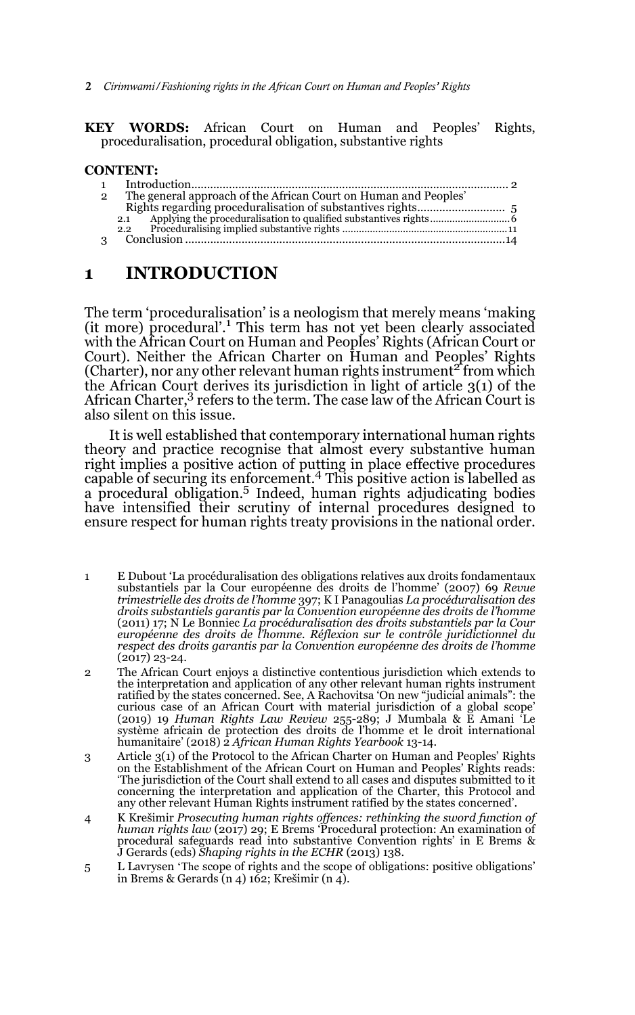2 *Cirimwami/Fashioning rights in the African Court on Human and Peoples' Rights*

#### **KEY WORDS:** African Court on Human and Peoples' Rights, proceduralisation, procedural obligation, substantive rights

### **CONTENT:**

| $\overline{2}$ | The general approach of the African Court on Human and Peoples' |  |
|----------------|-----------------------------------------------------------------|--|
|                |                                                                 |  |
|                | 2.1                                                             |  |
|                | 2.2                                                             |  |
|                |                                                                 |  |
|                |                                                                 |  |

# **1 INTRODUCTION**

The term 'proceduralisation' is a neologism that merely means 'making (it more) procedural'.<sup>1</sup> This term has not yet been clearly associated with the African Court on Human and Peoples' Rights (African Court or Court). Neither the African Charter on Human and Peoples' Rights (Charter), nor any other relevant human rights instrument<sup>2</sup> from which the African Court derives its jurisdiction in light of article 3(1) of the African Charter,<sup>3</sup> refers to the term. The case law of the African Court is also silent on this issue.

It is well established that contemporary international human rights theory and practice recognise that almost every substantive human right implies a positive action of putting in place effective procedures capable of securing its enforcement.4 This positive action is labelled as a procedural obligation.5 Indeed, human rights adjudicating bodies have intensified their scrutiny of internal procedures designed to ensure respect for human rights treaty provisions in the national order.

- 1 E Dubout 'La procéduralisation des obligations relatives aux droits fondamentaux substantiels par la Cour européenne des droits de l'homme' (2007) 69 *Revue trimestrielle des droits de l'homme* 397; K I Panagoulias *La procéduralisation des droits substantiels garantis par la Convention européenne des droits de l'homme* (2011) 17; N Le Bonniec *La procéduralisation des droits substantiels par la Cour européenne des droits de l'homme. Réflexion sur le contrôle juridictionnel du respect des droits garantis par la Convention européenne des droits de l'homme* (2017) 23-24.
- 2 The African Court enjoys a distinctive contentious jurisdiction which extends to the interpretation and application of any other relevant human rights instrument ratified by the states concerned. See, A Rachovitsa 'On new "judicial animals": the curious case of an African Court with material jurisdiction of a global scope' (2019) 19 *Human Rights Law Review* 255-289; J Mumbala & E Amani 'Le système africain de protection des droits de l'homme et le droit international humanitaire' (2018) 2 *African Human Rights Yearbook* 13-14.
- 3 Article 3(1) of the Protocol to the African Charter on Human and Peoples' Rights on the Establishment of the African Court on Human and Peoples' Rights reads: 'The jurisdiction of the Court shall extend to all cases and disputes submitted to it concerning the interpretation and application of the Charter, this Protocol and any other relevant Human Rights instrument ratified by the states concerned'.
- 4 K Krešimir *Prosecuting human rights offences: rethinking the sword function of human rights law* (2017) 29; E Brems 'Procedural protection: An examination of procedural safeguards read into substantive Convention rights' in E Brems & J Gerards (eds) *Shaping rights in the ECHR* (2013) 138.
- 5 L Lavrysen 'The scope of rights and the scope of obligations: positive obligations' in Brems & Gerards (n 4) 162; Krešimir (n 4).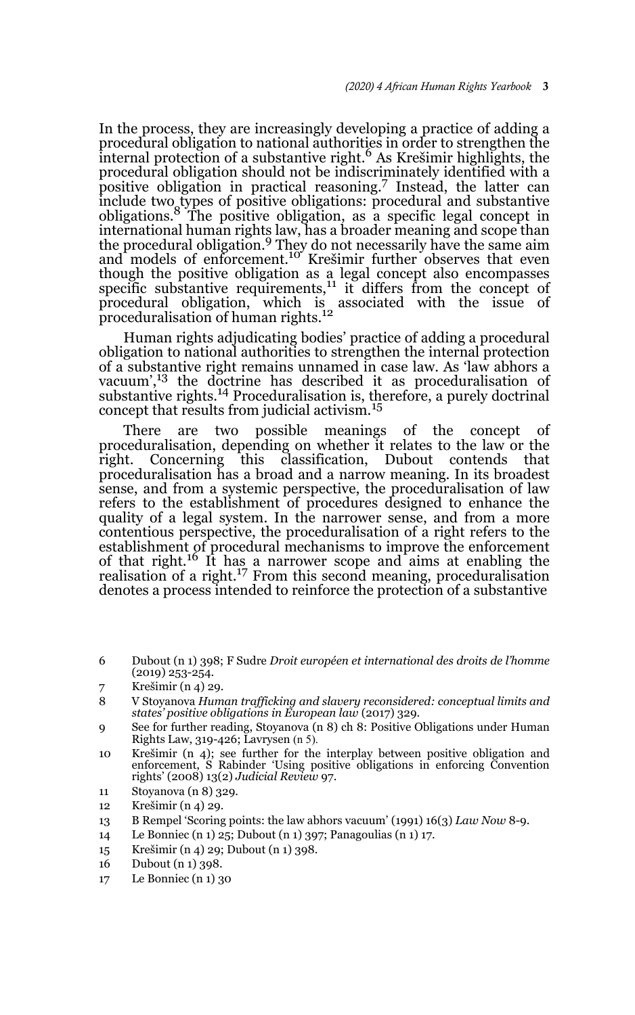In the process, they are increasingly developing a practice of adding a procedural obligation to national authorities in order to strengthen the internal protection of a substantive right.<sup>6</sup> As Krešimir highlights, the procedural obligation should not be indiscriminately identified with a positive obligation in practical reasoning.7 Instead, the latter can include two types of positive obligations: procedural and substantive obligations.8 The positive obligation, as a specific legal concept in international human rights law, has a broader meaning and scope than<br>the procedural obligation.<sup>9</sup> They do not necessarily have the same aim and models of enforcement.<sup>10</sup> Krešimir further observes that even though the positive obligation as a legal concept also encompasses<br>specific substantive requirements,<sup>11</sup> it differs from the concept of procedural obligation, which is associated with the issue of<br>proceduralisation of human rights.<sup>12</sup>

Human rights adjudicating bodies' practice of adding a procedural obligation to national authorities to strengthen the internal protection of a substantive right remains unnamed in case law. As 'law abhors a vacuum',<sup>13</sup> the doctrine has described it as proceduralisation of substantive rights.<sup>14</sup> Proceduralisation is, therefore, a purely doctrinal concept that results from judicial activism.<sup>15</sup>

There are two possible meanings of the concept of proceduralisation, depending on whether it relates to the law or the right. Concerning this classification, Dubout contends that proceduralisation has a broad and a narrow meaning. In its broadest sense, and from a systemic perspective, the proceduralisation of law refers to the establishment of procedures designed to enhance the quality of a legal system. In the narrower sense, and from a more contentious perspective, the proceduralisation of a right refers to the establishment of procedural mechanisms to improve the enforcement of that right.16 It has a narrower scope and aims at enabling the realisation of a right.<sup>17</sup> From this second meaning, proceduralisation denotes a process intended to reinforce the protection of a substantive

- 6 Dubout (n 1) 398; F Sudre *Droit européen et international des droits de l'homme* (2019) 253-254.
- 7 Krešimir (n 4) 29.

- 10 Krešimir (n 4); see further for the interplay between positive obligation and enforcement, S Rabinder 'Using positive obligations in enforcing Convention rights' (2008) 13(2) *Judicial Review* 97.
- 11 Stoyanova (n 8) 329.
- 12 Krešimir (n 4) 29.
- 13 B Rempel 'Scoring points: the law abhors vacuum' (1991) 16(3) *Law Now* 8-9.
- 14 Le Bonniec (n 1) 25; Dubout (n 1) 397; Panagoulias (n 1) 17.
- 15 Krešimir (n 4) 29; Dubout (n 1) 398.
- 16 Dubout (n 1) 398.
- 17 Le Bonniec (n 1) 30

<sup>8</sup> V Stoyanova *Human trafficking and slavery reconsidered: conceptual limits and states' positive obligations in European law* (2017) 329.

<sup>9</sup> See for further reading, Stoyanova (n 8) ch 8: Positive Obligations under Human Rights Law, 319-426; Lavrysen (n 5).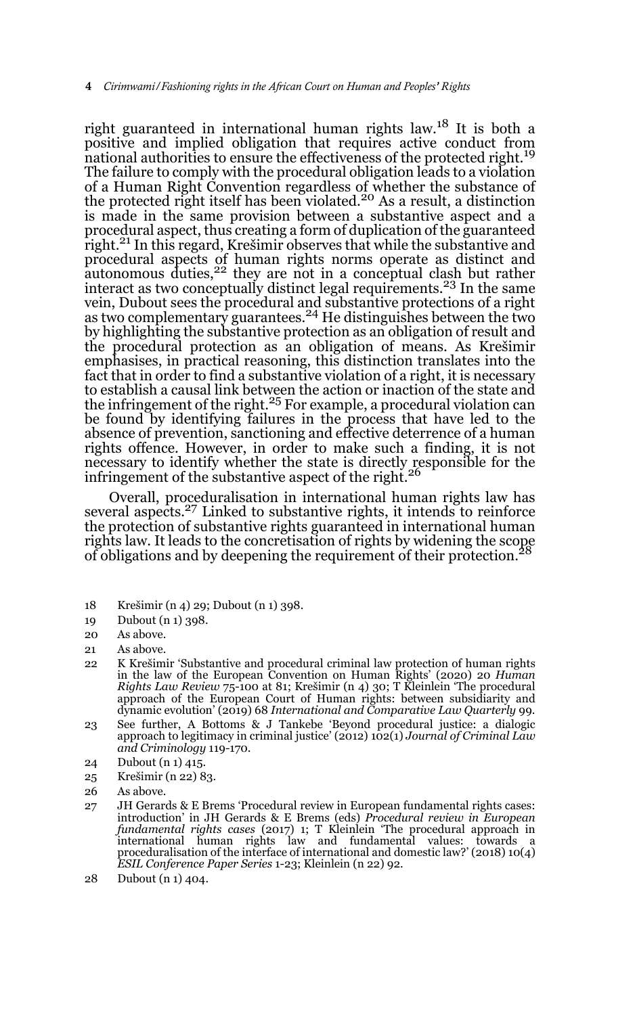right guaranteed in international human rights law.18 It is both a positive and implied obligation that requires active conduct from national authorities to ensure the effectiveness of the protected right.<sup>19</sup> The failure to comply with the procedural obligation leads to a violation of a Human Right Convention regardless of whether the substance of<br>the protected right itself has been violated.<sup>20</sup> As a result, a distinction is made in the same provision between a substantive aspect and a procedural aspect, thus creating a form of duplication of the guaranteed right.21 In this regard, Krešimir observes that while the substantive and procedural aspects of human rights norms operate as distinct and autonomous duties, $2^2$  they are not in a conceptual clash but rather interact as two conceptually distinct legal requirements.<sup>23</sup> In the same vein, Dubout sees the procedural and substantive protections of a right as two complementary guarantees.24 He distinguishes between the two by highlighting the substantive protection as an obligation of result and the procedural protection as an obligation of means. As Krešimir emphasises, in practical reasoning, this distinction translates into the fact that in order to find a substantive violation of a right, it is necessary to establish a causal link between the action or inaction of the state and the infringement of the right.<sup>25</sup> For example, a procedural violation can be found by identifying failures in the process that have led to the absence of prevention, sanctioning and effective deterrence of a human rights offence. However, in order to make such a finding, it is not necessary to identify whether the state is directly responsible for the infringement of the substantive aspect of the right.<sup>26</sup>

Overall, proceduralisation in international human rights law has several aspects.<sup>27</sup> Linked to substantive rights, it intends to reinforce the protection of substantive rights guaranteed in international human rights law. It leads to the concretisation of rights by widening the scope of obligations and by deepening the requirement of their protection.28

- 18 Krešimir (n 4) 29; Dubout (n 1) 398.
- 19 Dubout (n 1) 398.
- 20 As above.
- 21 As above.
- 22 K Krešimir 'Substantive and procedural criminal law protection of human rights in the law of the European Convention on Human Rights' (2020) 20 *Human Rights Law Review* 75-100 at 81; Krešimir (n 4) 30; T Kleinlein 'The procedural approach of the European Court of Human rights: between subsidiarity and dynamic evolution' (2019) 68 *International and Comparative Law Quarterly* 99.
- 23 See further, A Bottoms & J Tankebe 'Beyond procedural justice: a dialogic approach to legitimacy in criminal justice' (2012) 102(1) *Journal of Criminal Law and Criminology* 119-170.
- 24 Dubout (n 1) 415.
- 25 Krešimir (n 22) 83.
- 26 As above.
- 27 JH Gerards & E Brems 'Procedural review in European fundamental rights cases: introduction' in JH Gerards & E Brems (eds) *Procedural review in European fundamental rights cases* (2017) 1; T Kleinlein 'The procedural approach in international human rights law and fundamental values: towards a proceduralisation of the interface of international and domestic law?' (2018) 10(4) *ESIL Conference Paper Series* 1-23; Kleinlein (n 22) 92.
- 28 Dubout (n 1) 404.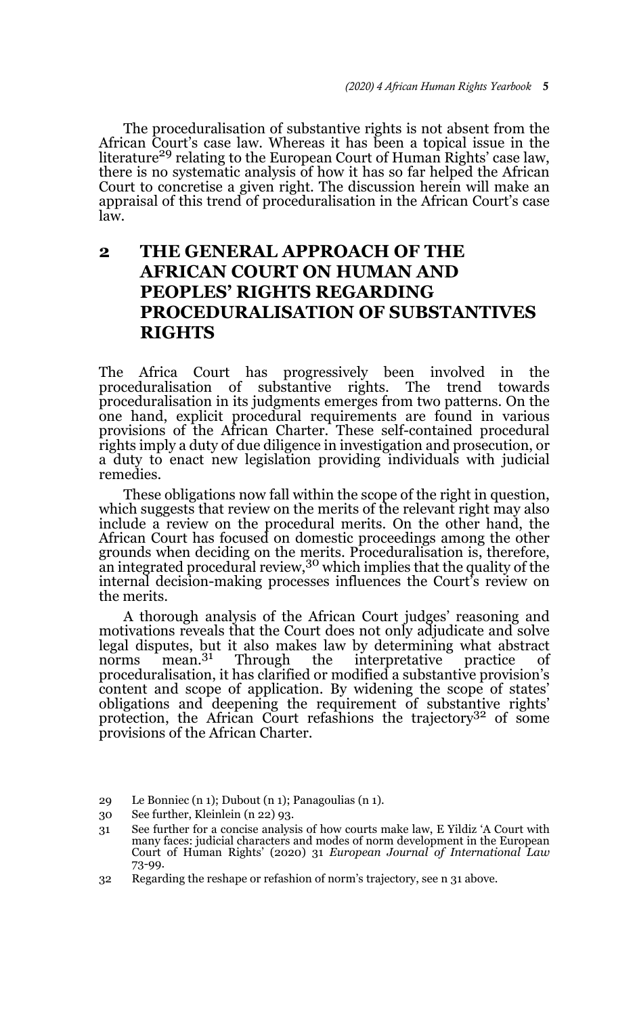The proceduralisation of substantive rights is not absent from the African Court's case law. Whereas it has been a topical issue in the literature<sup>29</sup> relating to the European Court of Human Rights' case law, there is no systematic analysis of how it has so far helped the African Court to concretise a given right. The discussion herein will make an appraisal of this trend of proceduralisation in the African Court's case law.

# **2 THE GENERAL APPROACH OF THE AFRICAN COURT ON HUMAN AND PEOPLES' RIGHTS REGARDING PROCEDURALISATION OF SUBSTANTIVES RIGHTS**

The Africa Court has progressively been involved in the proceduralisation of substantive rights. The trend towards proceduralisation in its judgments emerges from two patterns. On the one hand, explicit procedural requirements are found in various provisions of the African Charter. These self-contained procedural rights imply a duty of due diligence in investigation and prosecution, or a duty to enact new legislation providing individuals with judicial remedies.

These obligations now fall within the scope of the right in question, which suggests that review on the merits of the relevant right may also include a review on the procedural merits. On the other hand, the African Court has focused on domestic proceedings among the other grounds when deciding on the merits. Proceduralisation is, therefore, an integrated procedural review,30 which implies that the quality of the internal decision-making processes influences the Court's review on the merits.

A thorough analysis of the African Court judges' reasoning and motivations reveals that the Court does not only adjudicate and solve legal disputes, but it also makes law by determining what abstract norms mean.<sup>31</sup> Through the interpretative practice of norms mean.<sup>31</sup> Through the interpretative practice of proceduralisation, it has clarified or modified a substantive provision's content and scope of application. By widening the scope of states' obligations and deepening the requirement of substantive rights' protection, the African Court refashions the trajectory<sup>32</sup> of some provisions of the African Charter.

- 29 Le Bonniec (n 1); Dubout (n 1); Panagoulias (n 1).
- 30 See further, Kleinlein (n 22) 93.

<sup>31</sup> See further for a concise analysis of how courts make law, E Yildiz 'A Court with many faces: judicial characters and modes of norm development in the European Court of Human Rights' (2020) 31 *European Journal of International Law* 73-99.

<sup>32</sup> Regarding the reshape or refashion of norm's trajectory, see n 31 above.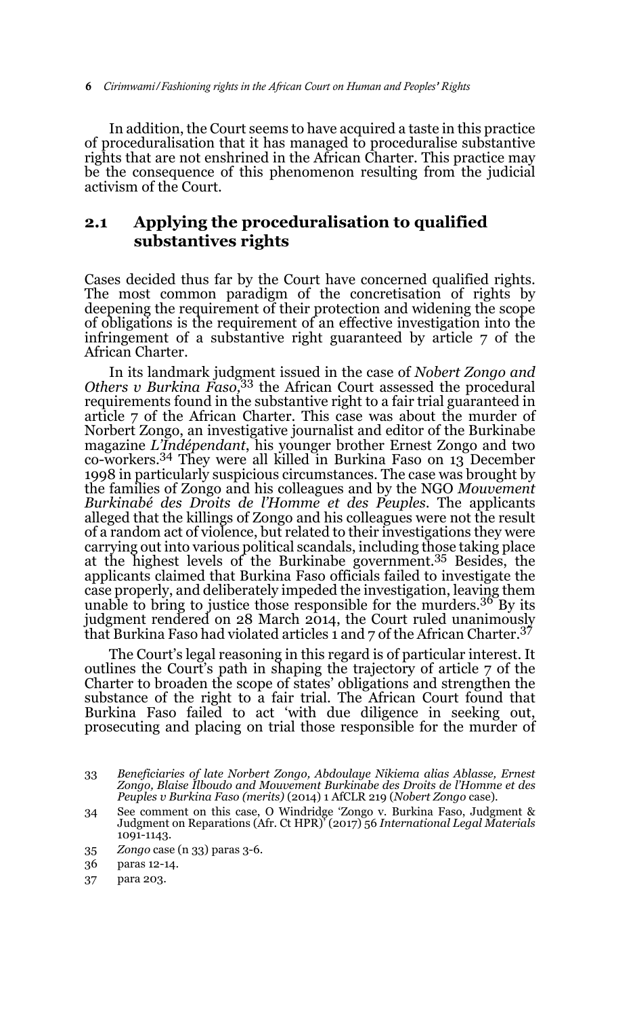In addition, the Court seems to have acquired a taste in this practice of proceduralisation that it has managed to proceduralise substantive rights that are not enshrined in the African Charter. This practice may be the consequence of this phenomenon resulting from the judicial activism of the Court.

# **2.1 Applying the proceduralisation to qualified substantives rights**

Cases decided thus far by the Court have concerned qualified rights. The most common paradigm of the concretisation of rights by deepening the requirement of their protection and widening the scope of obligations is the requirement of an effective investigation into the infringement of a substantive right guaranteed by article 7 of the African Charter.

In its landmark judgment issued in the case of *Nobert Zongo and Others v Burkina Faso,*<sup>33</sup> the African Court assessed the procedural requirements found in the substantive right to a fair trial guaranteed in article 7 of the African Charter. This case was about the murder of Norbert Zongo, an investigative journalist and editor of the Burkinabe magazine *L'Indépendant*, his younger brother Ernest Zongo and two co-workers.34 They were all killed in Burkina Faso on 13 December 1998 in particularly suspicious circumstances. The case was brought by the families of Zongo and his colleagues and by the NGO *Mouvement Burkinabé des Droits de l'Homme et des Peuples*. The applicants alleged that the killings of Zongo and his colleagues were not the result of a random act of violence, but related to their investigations they were carrying out into various political scandals, including those taking place at the highest levels of the Burkinabe government.35 Besides, the applicants claimed that Burkina Faso officials failed to investigate the case properly, and deliberately impeded the investigation, leaving them unable to bring to justice those responsible for the murders.  $3^{\circ}$  By its judgment rendered on 28 March 2014, the Court ruled unanimously that Burkina Faso had violated articles 1 and 7 of the African Charter.<sup>37</sup>

The Court's legal reasoning in this regard is of particular interest. It outlines the Court's path in shaping the trajectory of article 7 of the Charter to broaden the scope of states' obligations and strengthen the substance of the right to a fair trial. The African Court found that Burkina Faso failed to act 'with due diligence in seeking out, prosecuting and placing on trial those responsible for the murder of

<sup>33</sup> *Beneficiaries of late Norbert Zongo, Abdoulaye Nikiema alias Ablasse, Ernest Zongo, Blaise Ilboudo and Mouvement Burkinabe des Droits de l'Homme et des Peuples v Burkina Faso (merits)* (2014) 1 AfCLR 219 (*Nobert Zongo* case).

<sup>34</sup> See comment on this case, O Windridge 'Zongo v. Burkina Faso, Judgment & Judgment on Reparations (Afr. Ct HPR)' (2017) 56 *International Legal Materials* 1091-1143.

<sup>35</sup> *Zongo* case (n 33) paras 3-6.

<sup>36</sup> paras 12-14.

<sup>37</sup> para 203.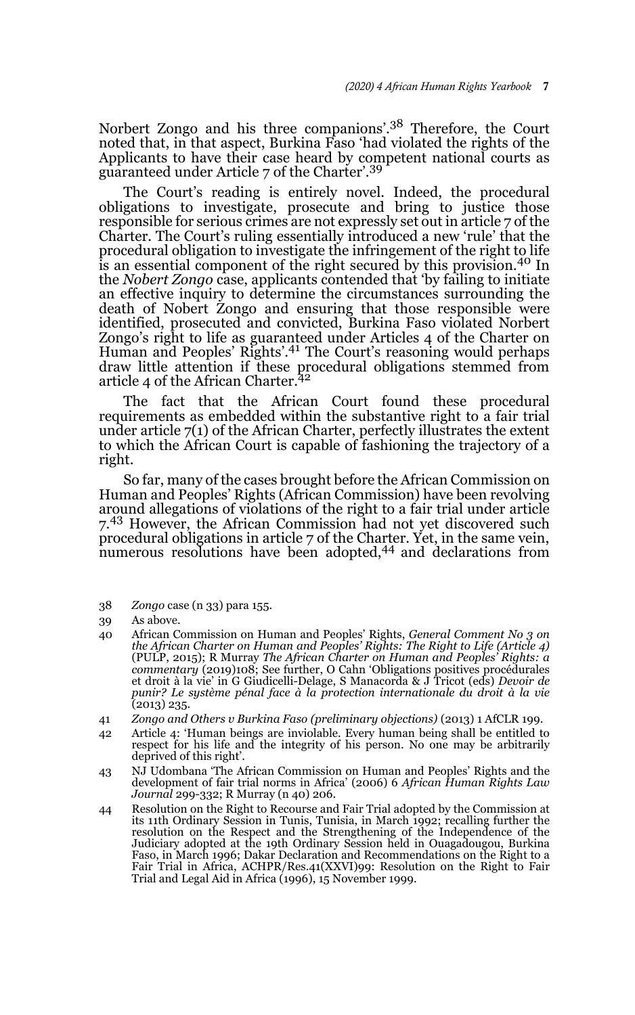Norbert Zongo and his three companions'.38 Therefore, the Court noted that, in that aspect, Burkina Faso 'had violated the rights of the Applicants to have their case heard by competent national courts as guaranteed under Article 7 of the Charter'.<sup>39</sup>

The Court's reading is entirely novel. Indeed, the procedural obligations to investigate, prosecute and bring to justice those responsible for serious crimes are not expressly set out in article 7 of the Charter. The Court's ruling essentially introduced a new 'rule' that the procedural obligation to investigate the infringement of the right to life is an essential component of the right secured by this provision.40 In the *Nobert Zongo* case, applicants contended that 'by failing to initiate an effective inquiry to determine the circumstances surrounding the death of Nobert Zongo and ensuring that those responsible were identified, prosecuted and convicted, Burkina Faso violated Norbert Zongo's right to life as guaranteed under Articles 4 of the Charter on Human and Peoples' Rights'.41 The Court's reasoning would perhaps draw little attention if these procedural obligations stemmed from article 4 of the African Charter.<sup>42</sup>

The fact that the African Court found these procedural requirements as embedded within the substantive right to a fair trial under article 7(1) of the African Charter, perfectly illustrates the extent to which the African Court is capable of fashioning the trajectory of a right.

So far, many of the cases brought before the African Commission on Human and Peoples' Rights (African Commission) have been revolving around allegations of violations of the right to a fair trial under article 7.43 However, the African Commission had not yet discovered such procedural obligations in article 7 of the Charter. Yet, in the same vein, numerous resolutions have been adopted,<sup>44</sup> and declarations from

38 *Zongo* case (n 33) para 155.

- 40 African Commission on Human and Peoples' Rights, *General Comment No 3 on the African Charter on Human and Peoples' Rights: The Right to Life (Article 4)* (PULP, 2015); R Murray *The African Charter on Human and Peoples' Rights: a commentary* (2019)108; See further, O Cahn 'Obligations positives procédurales et droit à la vie' in G Giudicelli-Delage, S Manacorda & J Tricot (eds) *Devoir de punir? Le système pénal face à la protection internationale du droit à la vie* (2013) 235.
- 41 *Zongo and Others v Burkina Faso (preliminary objections)* (2013) 1 AfCLR 199.
- 42 Article 4: 'Human beings are inviolable. Every human being shall be entitled to respect for his life and the integrity of his person. No one may be arbitrarily deprived of this right'.
- 43 NJ Udombana 'The African Commission on Human and Peoples' Rights and the development of fair trial norms in Africa' (2006) 6 *African Human Rights Law Journal* 299-332; R Murray (n 40) 206.
- 44 Resolution on the Right to Recourse and Fair Trial adopted by the Commission at its 11th Ordinary Session in Tunis, Tunisia, in March 1992; recalling further the resolution on the Respect and the Strengthening of the Independence of the Judiciary adopted at the 19th Ordinary Session held in Ouagadougou, Burkina Faso, in March 1996; Dakar Declaration and Recommendations on the Right to a Fair Trial in Africa, ACHPR/Res.41(XXVI)99: Resolution on the Right to Fair Trial and Legal Aid in Africa (1996), 15 November 1999.

<sup>39</sup> As above.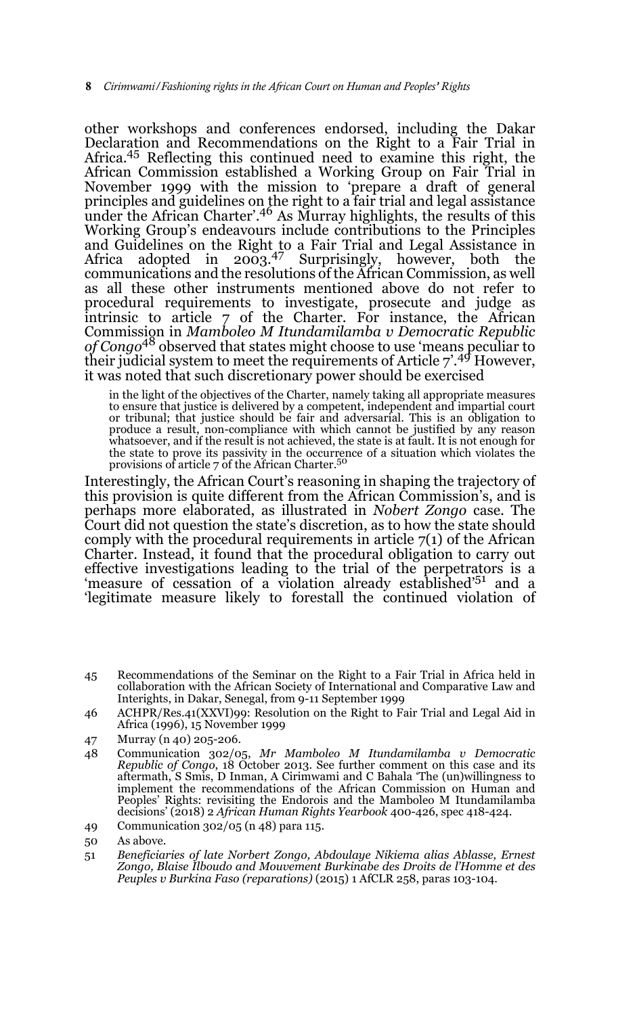other workshops and conferences endorsed, including the Dakar Declaration and Recommendations on the Right to a Fair Trial in Africa.45 Reflecting this continued need to examine this right, the African Commission established a Working Group on Fair Trial in November 1999 with the mission to 'prepare a draft of general principles and guidelines on the right to a fair trial and legal assistance under the African Charter'.<sup>46</sup> As Murray highlights, the results of this Working Group's endeavours include contributions to the Principles and Guidelines on the Right to a Fair Trial and Legal Assistance in Africa adopted in 2003.<sup>47</sup> Surprisingly, however, both the communications and the resolutions of the African Commission, as well as all these other instruments mentioned above do not refer to procedural requirements to investigate, prosecute and judge as intrinsic to article 7 of the Charter. For instance, the African Commission in *Mamboleo M Itundamilamba v Democratic Republic of Congo*48 observed that states might choose to use 'means peculiar to their judicial system to meet the requirements of Article  $7.^{49}$  However, it was noted that such discretionary power should be exercised

in the light of the objectives of the Charter, namely taking all appropriate measures to ensure that justice is delivered by a competent, independent and impartial court or tribunal; that justice should be fair and adversarial. This is an obligation to produce a result, non-compliance with which cannot be justified by any reason whatsoever, and if the result is not achieved, the state is at fault. It is not enough for the state to prove its passivity in the occurrence of a situation which violates the provisions of article 7 of the African Charter.50

Interestingly, the African Court's reasoning in shaping the trajectory of this provision is quite different from the African Commission's, and is perhaps more elaborated, as illustrated in *Nobert Zongo* case. The Court did not question the state's discretion, as to how the state should comply with the procedural requirements in article  $7(1)$  of the African Charter. Instead, it found that the procedural obligation to carry out effective investigations leading to the trial of the perpetrators is a 'measure of cessation of a violation already established'51 and a 'legitimate measure likely to forestall the continued violation of

- 45 Recommendations of the Seminar on the Right to a Fair Trial in Africa held in collaboration with the African Society of International and Comparative Law and Interights, in Dakar, Senegal, from 9-11 September 1999
- 46 ACHPR/Res.41(XXVI)99: Resolution on the Right to Fair Trial and Legal Aid in Africa (1996), 15 November 1999
- 47 Murray (n 40) 205-206.
- 48 Communication 302/05, *Mr Mamboleo M Itundamilamba v Democratic Republic of Congo*, 18 October 2013. See further comment on this case and its aftermath, S Smis, D Inman, A Cirimwami and C Bahala 'The (un)willingness to implement the recommendations of the African Commission on Human and Peoples' Rights: revisiting the Endorois and the Mamboleo M Itundamilamba decisions' (2018) 2 *African Human Rights Yearbook* 400-426, spec 418-424.
- 49 Communication 302/05 (n 48) para 115.
- 50 As above.
- 51 *Beneficiaries of late Norbert Zongo, Abdoulaye Nikiema alias Ablasse, Ernest Zongo, Blaise Ilboudo and Mouvement Burkinabe des Droits de l'Homme et des Peuples v Burkina Faso (reparations)* (2015) 1 AfCLR 258, paras 103-104.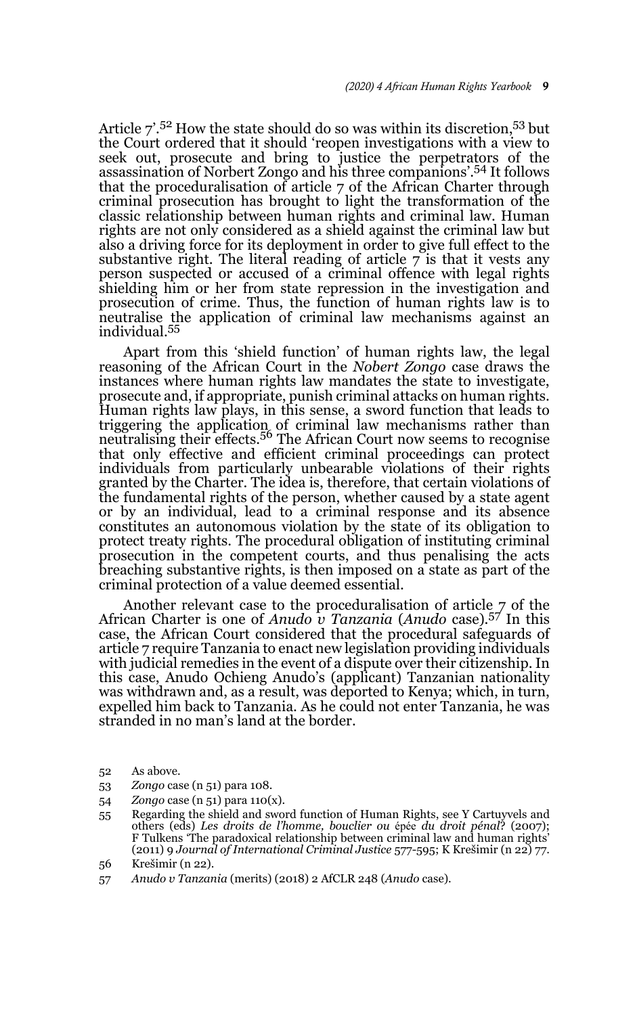Article  $7.5^2$  How the state should do so was within its discretion,  $53$  but the Court ordered that it should 'reopen investigations with a view to seek out, prosecute and bring to justice the perpetrators of the assassination of Norbert Zongo and his three companions'.54 It follows that the proceduralisation of article 7 of the African Charter through criminal prosecution has brought to light the transformation of the classic relationship between human rights and criminal law. Human rights are not only considered as a shield against the criminal law but also a driving force for its deployment in order to give full effect to the substantive right. The literal reading of article  $\overline{z}$  is that it vests any person suspected or accused of a criminal offence with legal rights shielding him or her from state repression in the investigation and prosecution of crime. Thus, the function of human rights law is to neutralise the application of criminal law mechanisms against an individual.55

Apart from this 'shield function' of human rights law, the legal reasoning of the African Court in the *Nobert Zongo* case draws the instances where human rights law mandates the state to investigate, prosecute and, if appropriate, punish criminal attacks on human rights. Human rights law plays, in this sense, a sword function that leads to triggering the application of criminal law mechanisms rather than<br>neutralising their effects.<sup>56</sup> The African Court now seems to recognise that only effective and efficient criminal proceedings can protect individuals from particularly unbearable violations of their rights granted by the Charter. The idea is, therefore, that certain violations of the fundamental rights of the person, whether caused by a state agent or by an individual, lead to a criminal response and its absence constitutes an autonomous violation by the state of its obligation to protect treaty rights. The procedural obligation of instituting criminal prosecution in the competent courts, and thus penalising the acts breaching substantive rights, is then imposed on a state as part of the criminal protection of a value deemed essential.

Another relevant case to the proceduralisation of article 7 of the African Charter is one of *Anudo v Tanzania* (*Anudo* case).57 In this case, the African Court considered that the procedural safeguards of article 7 require Tanzania to enact new legislation providing individuals with judicial remedies in the event of a dispute over their citizenship. In this case, Anudo Ochieng Anudo's (applicant) Tanzanian nationality was withdrawn and, as a result, was deported to Kenya; which, in turn, expelled him back to Tanzania. As he could not enter Tanzania, he was stranded in no man's land at the border.

- 52 As above.
- 53 *Zongo* case (n 51) para 108.
- 54 *Zongo* case (n 51) para 110(x).
- 55 Regarding the shield and sword function of Human Rights, see Y Cartuyvels and others (eds) *Les droits de l'homme, bouclier ou* épée *du droit pénal*? (2007); F Tulkens 'The paradoxical relationship between criminal law and human rights' (2011) 9 *Journal of International Criminal Justice* 577-595; K Krešimir (n 22) 77.
- 56 Krešimir (n 22).
- 57 *Anudo v Tanzania* (merits) (2018) 2 AfCLR 248 (*Anudo* case).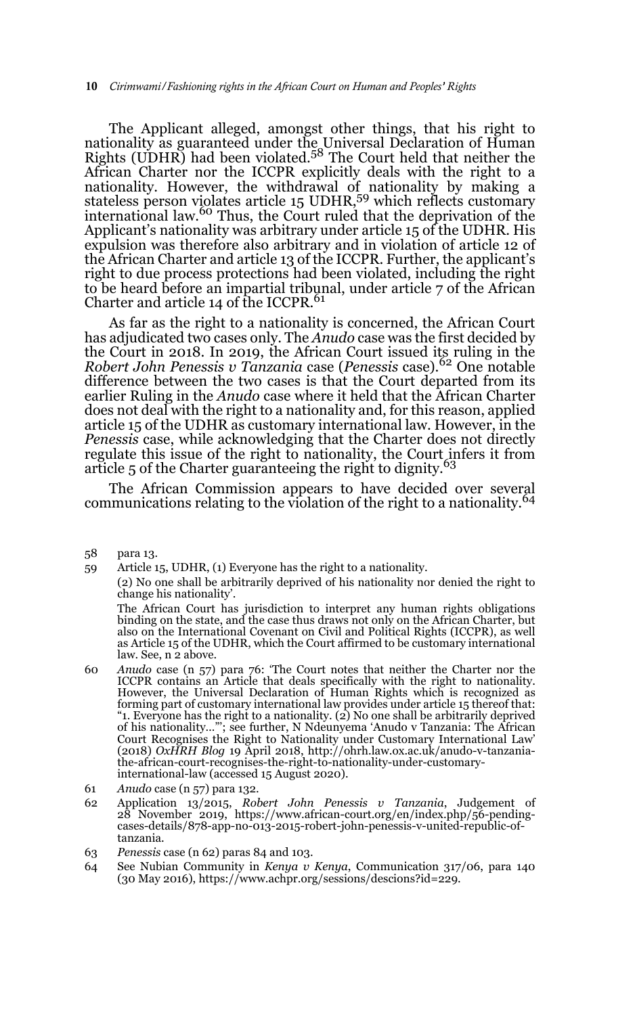The Applicant alleged, amongst other things, that his right to nationality as guaranteed under the Universal Declaration of Human<br>Rights (UDHR) had been violated.<sup>58</sup> The Court held that neither the African Charter nor the ICCPR explicitly deals with the right to a nationality. However, the withdrawal of nationality by making a<br>stateless person violates article 15 UDHR,<sup>59</sup> which reflects customary international law.60 Thus, the Court ruled that the deprivation of the Applicant's nationality was arbitrary under article 15 of the UDHR. His expulsion was therefore also arbitrary and in violation of article 12 of the African Charter and article 13 of the ICCPR. Further, the applicant's right to due process protections had been violated, including the right to be heard before an impartial tribunal, under article 7 of the African Charter and article 14 of the ICCPR.<sup>61</sup>

As far as the right to a nationality is concerned, the African Court has adjudicated two cases only. The *Anudo* case was the first decided by the Court in 2018. In 2019, the African Court issued its ruling in the *Robert John Penessis v Tanzania* case (*Penessis* case).62 One notable difference between the two cases is that the Court departed from its earlier Ruling in the *Anudo* case where it held that the African Charter does not deal with the right to a nationality and, for this reason, applied article 15 of the UDHR as customary international law. However, in the *Penessis* case, while acknowledging that the Charter does not directly regulate this issue of the right to nationality, the Court infers it from article 5 of the Charter guaranteeing the right to dignity.<sup>63</sup>

The African Commission appears to have decided over several communications relating to the violation of the right to a nationality.<sup>64</sup>

(2) No one shall be arbitrarily deprived of his nationality nor denied the right to change his nationality'.

The African Court has jurisdiction to interpret any human rights obligations binding on the state, and the case thus draws not only on the African Charter, but also on the International Covenant on Civil and Political Rights (ICCPR), as well as Article 15 of the UDHR, which the Court affirmed to be customary international law. See, n 2 above.

- 60 *Anudo* case (n 57) para 76: 'The Court notes that neither the Charter nor the ICCPR contains an Article that deals specifically with the right to nationality. However, the Universal Declaration of Human Rights which is recognized as forming part of customary international law provides under article 15 thereof that: "1. Everyone has the right to a nationality. (2) No one shall be arbitrarily deprived of his nationality…"'; see further, N Ndeunyema 'Anudo v Tanzania: The African Court Recognises the Right to Nationality under Customary International Law' (2018) *OxHRH Blog* 19 April 2018, http://ohrh.law.ox.ac.uk/anudo-v-tanzaniathe-african-court-recognises-the-right-to-nationality-under-customaryinternational-law (accessed 15 August 2020).
- 61 *Anudo* case (n 57) para 132.
- 62 Application 13/2015, *Robert John Penessis v Tanzania*, Judgement of 28 November 2019, https://www.african-court.org/en/index.php/56-pendingcases-details/878-app-no-013-2015-robert-john-penessis-v-united-republic-oftanzania.
- 63 *Penessis* case (n 62) paras 84 and 103.
- 64 See Nubian Community in *Kenya v Kenya*, Communication 317/06, para 140 (30 May 2016), https://www.achpr.org/sessions/descions?id=229.

<sup>58</sup> para 13.

<sup>59</sup> Article 15, UDHR, (1) Everyone has the right to a nationality.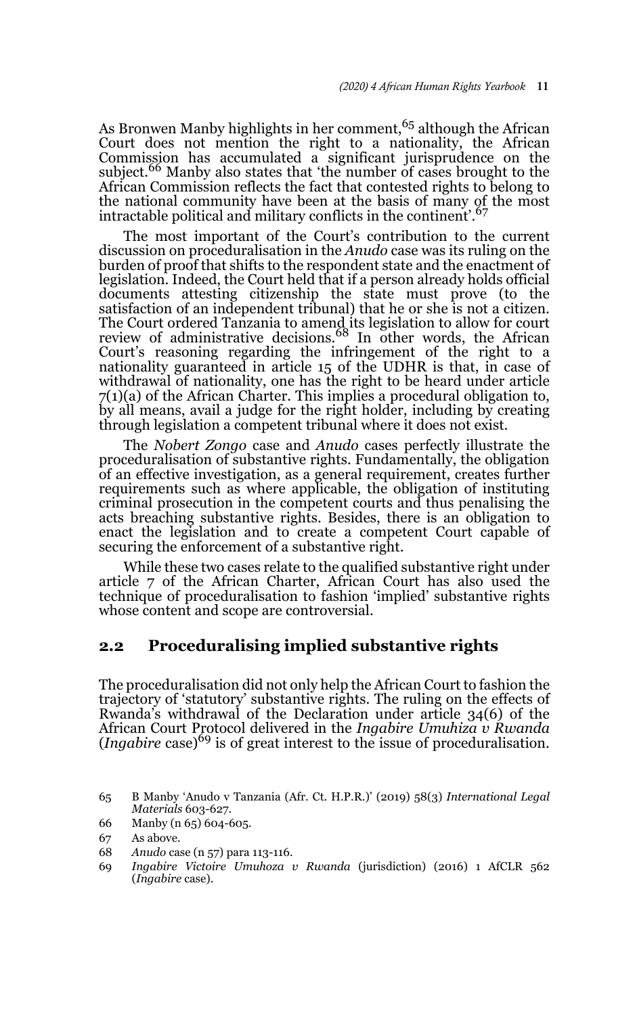As Bronwen Manby highlights in her comment,<sup>65</sup> although the African Court does not mention the right to a nationality, the African Commission has accumulated a significant jurisprudence on the subject.<sup>66</sup> Manby also states that 'the number of cases brought to the African Commission reflects the fact that contested rights to belong to the national community have been at the basis of many of the most intractable political and military conflicts in the continent'.<sup>67</sup>

The most important of the Court's contribution to the current discussion on proceduralisation in the *Anudo* case was its ruling on the burden of proof that shifts to the respondent state and the enactment of legislation. Indeed, the Court held that if a person already holds official documents attesting citizenship the state must prove (to the satisfaction of an independent tribunal) that he or she is not a citizen. The Court ordered Tanzania to amend its legislation to allow for court<br>review of administrative decisions.<sup>68</sup> In other words, the African Court's reasoning regarding the infringement of the right to a nationality guaranteed in article 15 of the UDHR is that, in case of withdrawal of nationality, one has the right to be heard under article 7(1)(a) of the African Charter. This implies a procedural obligation to, by all means, avail a judge for the right holder, including by creating through legislation a competent tribunal where it does not exist.

The *Nobert Zongo* case and *Anudo* cases perfectly illustrate the proceduralisation of substantive rights. Fundamentally, the obligation of an effective investigation, as a general requirement, creates further requirements such as where applicable, the obligation of instituting criminal prosecution in the competent courts and thus penalising the acts breaching substantive rights. Besides, there is an obligation to enact the legislation and to create a competent Court capable of securing the enforcement of a substantive right.

While these two cases relate to the qualified substantive right under article 7 of the African Charter, African Court has also used the technique of proceduralisation to fashion 'implied' substantive rights whose content and scope are controversial.

# **2.2 Proceduralising implied substantive rights**

The proceduralisation did not only help the African Court to fashion the trajectory of 'statutory' substantive rights. The ruling on the effects of Rwanda's withdrawal of the Declaration under article 34(6) of the African Court Protocol delivered in the *Ingabire Umuhiza v Rwanda* (*Ingabire* case)69 is of great interest to the issue of proceduralisation.

<sup>65</sup> B Manby 'Anudo v Tanzania (Afr. Ct. H.P.R.)' (2019) 58(3) *International Legal Materials* 603-627.

<sup>66</sup> Manby (n 65) 604-605.

<sup>67</sup> As above.

<sup>68</sup> *Anudo* case (n 57) para 113-116.

<sup>69</sup> *Ingabire Victoire Umuhoza v Rwanda* (jurisdiction) (2016) 1 AfCLR 562 (*Ingabire* case).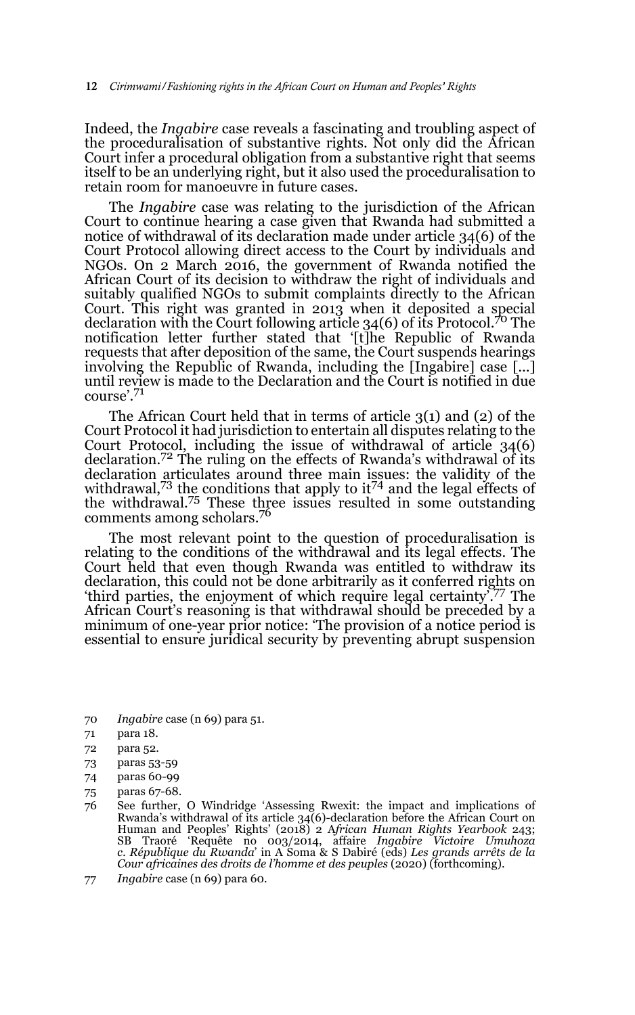Indeed, the *Ingabire* case reveals a fascinating and troubling aspect of the proceduralisation of substantive rights. Not only did the African Court infer a procedural obligation from a substantive right that seems itself to be an underlying right, but it also used the proceduralisation to retain room for manoeuvre in future cases.

The *Ingabire* case was relating to the jurisdiction of the African Court to continue hearing a case given that Rwanda had submitted a notice of withdrawal of its declaration made under article 34(6) of the Court Protocol allowing direct access to the Court by individuals and NGOs. On 2 March 2016, the government of Rwanda notified the African Court of its decision to withdraw the right of individuals and suitably qualified NGOs to submit complaints directly to the African Court. This right was granted in 2013 when it deposited a special declaration with the Court following article 34(6) of its Protocol.70 The notification letter further stated that '[t]he Republic of Rwanda requests that after deposition of the same, the Court suspends hearings involving the Republic of Rwanda, including the [Ingabire] case [...] until review is made to the Declaration and the Court is notified in due course'.71

The African Court held that in terms of article 3(1) and (2) of the Court Protocol it had jurisdiction to entertain all disputes relating to the Court Protocol, including the issue of withdrawal of article 34(6) declaration.<sup>72</sup> The ruling on the effects of Rwanda's withdrawal of its declaration articulates around three main issues: the validity of the withdrawal,<sup>73</sup> the conditions that apply to  $it^{74}$  and the legal effects of the withdrawal.<sup>75</sup> These three issues resulted in some outstanding comments among scholars.<sup>76</sup>

The most relevant point to the question of proceduralisation is relating to the conditions of the withdrawal and its legal effects. The Court held that even though Rwanda was entitled to withdraw its declaration, this could not be done arbitrarily as it conferred rights on 'third parties, the enjoyment of which require legal certainty'.77 The African Court's reasoning is that withdrawal should be preceded by a minimum of one-year prior notice: 'The provision of a notice period is essential to ensure juridical security by preventing abrupt suspension

- 70 *Ingabire* case (n 69) para 51.
- 71 para 18.
- 72 para 52.
- 73 paras 53-59
- 74 paras 60-99
- 75 paras 67-68.
- 76 See further, O Windridge 'Assessing Rwexit: the impact and implications of Rwanda's withdrawal of its article 34(6)-declaration before the African Court on Human and Peoples' Rights' (2018) 2 A*frican Human Rights Yearbook* 243; SB Traoré 'Requête no 003/2014, affaire *Ingabire Victoire Umuhoza c. République du Rwanda*' in A Soma & S Dabiré (eds) *Les grands arrêts de la Cour africaines des droits de l'homme et des peuples* (2020) (forthcoming).
- 77 *Ingabire* case (n 69) para 60.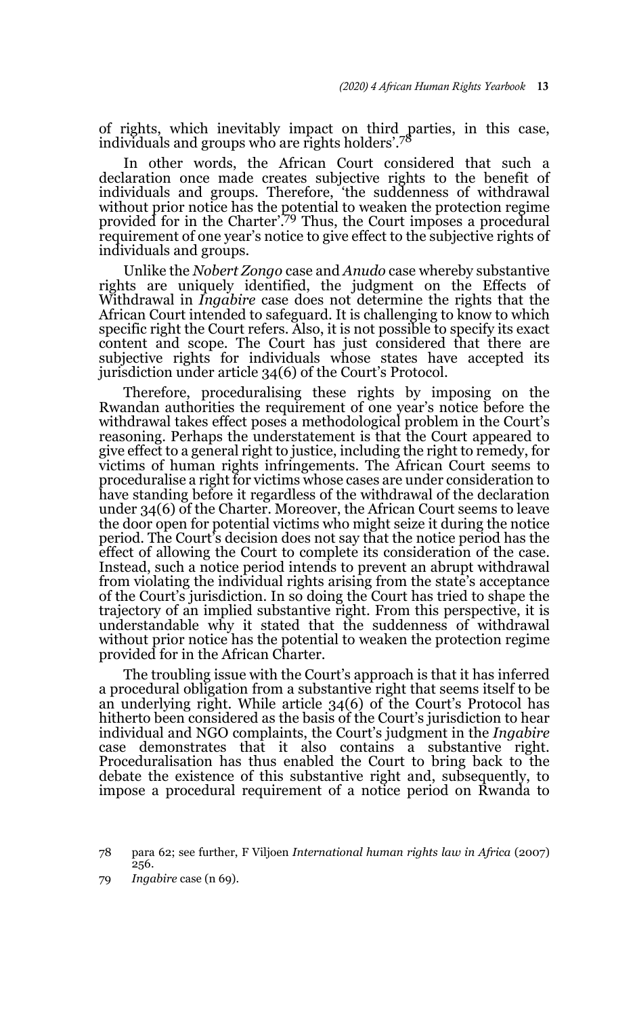of rights, which inevitably impact on third parties, in this case, individuals and groups who are rights holders'.<sup>78</sup>

In other words, the African Court considered that such a declaration once made creates subjective rights to the benefit of individuals and groups. Therefore, 'the suddenness of withdrawal without prior notice has the potential to weaken the protection regime provided for in the Charter'.79 Thus, the Court imposes a procedural requirement of one year's notice to give effect to the subjective rights of individuals and groups.

Unlike the *Nobert Zongo* case and *Anudo* case whereby substantive rights are uniquely identified, the judgment on the Effects of Withdrawal in *Ingabire* case does not determine the rights that the African Court intended to safeguard. It is challenging to know to which specific right the Court refers. Also, it is not possible to specify its exact content and scope. The Court has just considered that there are subjective rights for individuals whose states have accepted its jurisdiction under article 34(6) of the Court's Protocol.

Therefore, proceduralising these rights by imposing on the Rwandan authorities the requirement of one year's notice before the withdrawal takes effect poses a methodological problem in the Court's reasoning. Perhaps the understatement is that the Court appeared to give effect to a general right to justice, including the right to remedy, for victims of human rights infringements. The African Court seems to proceduralise a right for victims whose cases are under consideration to have standing before it regardless of the withdrawal of the declaration under 34(6) of the Charter. Moreover, the African Court seems to leave the door open for potential victims who might seize it during the notice period. The Court's decision does not say that the notice period has the effect of allowing the Court to complete its consideration of the case. Instead, such a notice period intends to prevent an abrupt withdrawal from violating the individual rights arising from the state's acceptance of the Court's jurisdiction. In so doing the Court has tried to shape the trajectory of an implied substantive right. From this perspective, it is understandable why it stated that the suddenness of withdrawal without prior notice has the potential to weaken the protection regime provided for in the African Charter.

The troubling issue with the Court's approach is that it has inferred a procedural obligation from a substantive right that seems itself to be an underlying right. While article 34(6) of the Court's Protocol has hitherto been considered as the basis of the Court's jurisdiction to hear individual and NGO complaints, the Court's judgment in the *Ingabire* case demonstrates that it also contains a substantive right. Proceduralisation has thus enabled the Court to bring back to the debate the existence of this substantive right and, subsequently, to impose a procedural requirement of a notice period on Rwanda to

78 para 62; see further, F Viljoen *International human rights law in Africa* (2007) 256.

79 *Ingabire* case (n 69).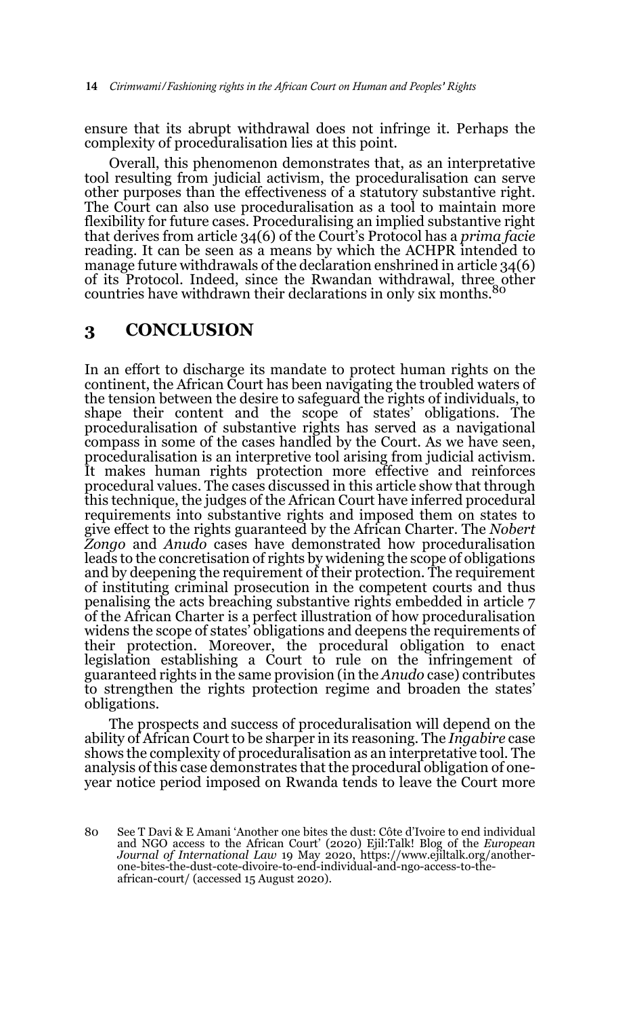ensure that its abrupt withdrawal does not infringe it. Perhaps the complexity of proceduralisation lies at this point.

Overall, this phenomenon demonstrates that, as an interpretative tool resulting from judicial activism, the proceduralisation can serve other purposes than the effectiveness of a statutory substantive right. The Court can also use proceduralisation as a tool to maintain more flexibility for future cases. Proceduralising an implied substantive right that derives from article 34(6) of the Court's Protocol has a *prima facie* reading. It can be seen as a means by which the ACHPR intended to manage future withdrawals of the declaration enshrined in article 34(6) of its Protocol. Indeed, since the Rwandan withdrawal, three other countries have withdrawn their declarations in only six months.

### **3 CONCLUSION**

In an effort to discharge its mandate to protect human rights on the continent, the African Court has been navigating the troubled waters of the tension between the desire to safeguard the rights of individuals, to shape their content and the scope of states' obligations. The proceduralisation of substantive rights has served as a navigational compass in some of the cases handled by the Court. As we have seen, proceduralisation is an interpretive tool arising from judicial activism. It makes human rights protection more effective and reinforces procedural values. The cases discussed in this article show that through this technique, the judges of the African Court have inferred procedural requirements into substantive rights and imposed them on states to give effect to the rights guaranteed by the African Charter. The *Nobert Zongo* and *Anudo* cases have demonstrated how proceduralisation leads to the concretisation of rights by widening the scope of obligations and by deepening the requirement of their protection. The requirement of instituting criminal prosecution in the competent courts and thus penalising the acts breaching substantive rights embedded in article 7 of the African Charter is a perfect illustration of how proceduralisation widens the scope of states' obligations and deepens the requirements of their protection. Moreover, the procedural obligation to enact legislation establishing a Court to rule on the infringement of guaranteed rights in the same provision (in the *Anudo* case) contributes to strengthen the rights protection regime and broaden the states' obligations.

The prospects and success of proceduralisation will depend on the ability of African Court to be sharper in its reasoning. The *Ingabire* case shows the complexity of proceduralisation as an interpretative tool. The analysis of this case demonstrates that the procedural obligation of oneyear notice period imposed on Rwanda tends to leave the Court more

<sup>80</sup> See T Davi & E Amani 'Another one bites the dust: Côte d'Ivoire to end individual and NGO access to the African Court' (2020) Ejil:Talk! Blog of the *European Journal of International Law* 19 May 2020, https://www.ejiltalk.org/anotherone-bites-the-dust-cote-divoire-to-end-individual-and-ngo-access-to-theafrican-court/ (accessed 15 August 2020).